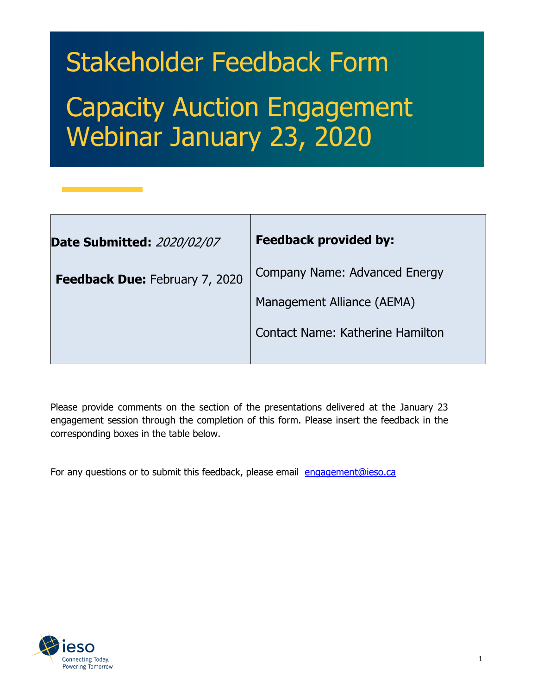# Stakeholder Feedback Form Capacity Auction Engagement Webinar January 23, 2020

| <b>Date Submitted: 2020/02/07</b> | <b>Feedback provided by:</b>            |
|-----------------------------------|-----------------------------------------|
| Feedback Due: February 7, 2020    | Company Name: Advanced Energy           |
|                                   | Management Alliance (AEMA)              |
|                                   | <b>Contact Name: Katherine Hamilton</b> |

Please provide comments on the section of the presentations delivered at the January 23 engagement session through the completion of this form. Please insert the feedback in the corresponding boxes in the table below.

For any questions or to submit this feedback, please email [engagement@ieso.ca](mailto:engagement@ieso.ca)

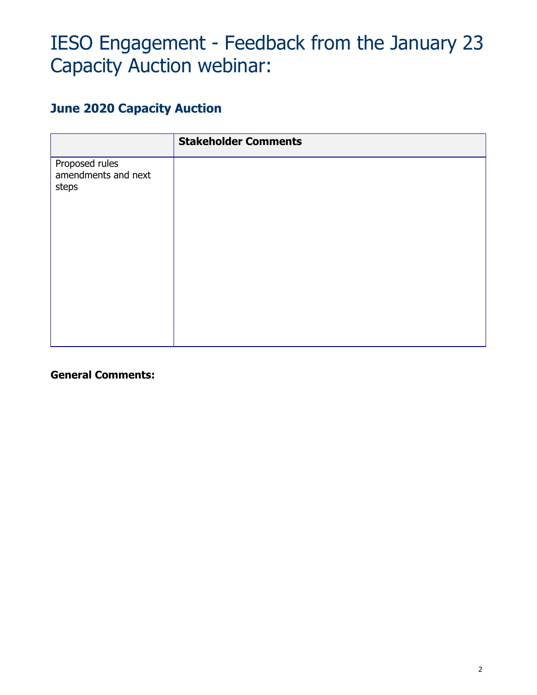## IESO Engagement - Feedback from the January 23 Capacity Auction webinar:

#### **June 2020 Capacity Auction**

|                                                | <b>Stakeholder Comments</b> |
|------------------------------------------------|-----------------------------|
| Proposed rules<br>amendments and next<br>steps |                             |
|                                                |                             |

**General Comments:**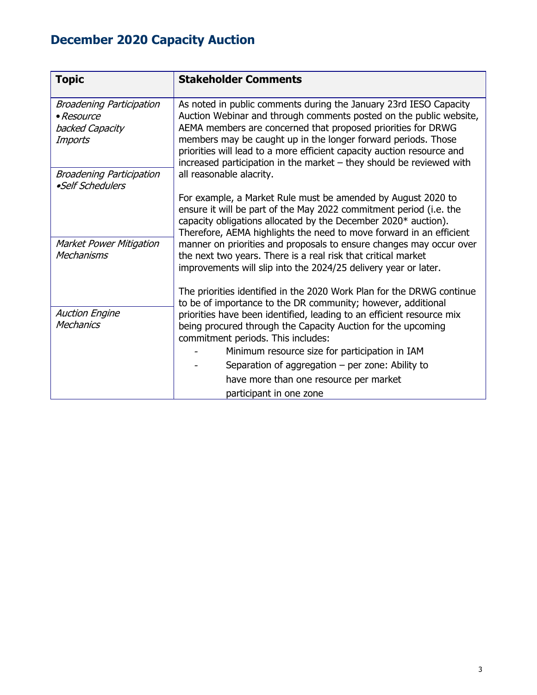### **December 2020 Capacity Auction**

| <b>Topic</b>                                                                | <b>Stakeholder Comments</b>                                                                                                                                                                                                                                                                                                                                                                                                |
|-----------------------------------------------------------------------------|----------------------------------------------------------------------------------------------------------------------------------------------------------------------------------------------------------------------------------------------------------------------------------------------------------------------------------------------------------------------------------------------------------------------------|
| <b>Broadening Participation</b><br>• Resource<br>backed Capacity<br>Imports | As noted in public comments during the January 23rd IESO Capacity<br>Auction Webinar and through comments posted on the public website,<br>AEMA members are concerned that proposed priorities for DRWG<br>members may be caught up in the longer forward periods. Those<br>priorities will lead to a more efficient capacity auction resource and<br>increased participation in the market - they should be reviewed with |
| <b>Broadening Participation</b><br>•Self Schedulers                         | all reasonable alacrity.                                                                                                                                                                                                                                                                                                                                                                                                   |
|                                                                             | For example, a Market Rule must be amended by August 2020 to<br>ensure it will be part of the May 2022 commitment period (i.e. the<br>capacity obligations allocated by the December 2020* auction).<br>Therefore, AEMA highlights the need to move forward in an efficient                                                                                                                                                |
| <b>Market Power Mitigation</b><br>Mechanisms                                | manner on priorities and proposals to ensure changes may occur over<br>the next two years. There is a real risk that critical market<br>improvements will slip into the 2024/25 delivery year or later.                                                                                                                                                                                                                    |
|                                                                             | The priorities identified in the 2020 Work Plan for the DRWG continue<br>to be of importance to the DR community; however, additional                                                                                                                                                                                                                                                                                      |
| <b>Auction Engine</b><br><b>Mechanics</b>                                   | priorities have been identified, leading to an efficient resource mix<br>being procured through the Capacity Auction for the upcoming<br>commitment periods. This includes:                                                                                                                                                                                                                                                |
|                                                                             | Minimum resource size for participation in IAM                                                                                                                                                                                                                                                                                                                                                                             |
|                                                                             | Separation of aggregation $-$ per zone: Ability to                                                                                                                                                                                                                                                                                                                                                                         |
|                                                                             | have more than one resource per market                                                                                                                                                                                                                                                                                                                                                                                     |
|                                                                             | participant in one zone                                                                                                                                                                                                                                                                                                                                                                                                    |